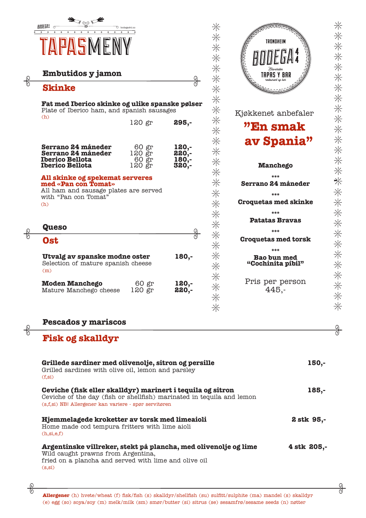

| <b>Embutidos y jamon</b>                                                                                                       |                                    | ရွ                                 |
|--------------------------------------------------------------------------------------------------------------------------------|------------------------------------|------------------------------------|
| <b>Skinke</b>                                                                                                                  |                                    |                                    |
| Fat med Iberico skinke og ulike spanske pølser<br>Plate of Iberico ham, and spanish sausages                                   |                                    |                                    |
| (h)                                                                                                                            | 120 gr                             | 295,-                              |
| Serrano 24 måneder<br>Serrano 24 måneder<br><b>Iberico Bellota</b><br><b>Iberico Bellota</b>                                   | 60 gr<br>120 gr<br>60 gr<br>120 gr | 120,-<br>220,-<br>$180,-$<br>320,- |
| All skinke og spekemat serveres<br>med «Pan con Tomat»<br>All ham and sausage plates are served<br>with "Pan con Tomat"<br>(h) |                                    |                                    |
| <b>Queso</b>                                                                                                                   |                                    |                                    |
| Ost                                                                                                                            |                                    |                                    |
| Utvalg av spanske modne oster<br>Selection of mature spanish cheese<br>(m)                                                     |                                    | $180,-$                            |
|                                                                                                                                |                                    |                                    |

TRONDHEIM **TAPAS Y BAR** Kjøkkenet anbefaler **"En smak av Spania" Manchego \*\*\* Serrano 24 måneder \*\*\* Croquetas med skinke \*\*\* Patatas Bravas \*\*\* Croquetas med torsk**

**\*\*\* Bao bun med "Cochinita pibil"** Pris per person 445,-

## **Pescados y mariscos**

## **Fisk og skalldyr**

 $rac{6}{\sqrt{2}}$ 

 $rac{6}{6}$ 

| Grillede sardiner med olivenolje, sitron og persille<br>Grilled sardines with olive oil, lemon and parsley<br>(f,si)                                                                         | 150,-       |
|----------------------------------------------------------------------------------------------------------------------------------------------------------------------------------------------|-------------|
| Ceviche (fisk eller skalldyr) marinert i tequila og sitron<br>Ceviche of the day (fish or shellfish) marinated in tequila and lemon<br>(s.f.si) NB! Allergener kan variere - spør servitøren | $185,-$     |
| Hjemmelagede kroketter av torsk med limeaioli<br>Home made cod tempura fritters with lime aioli<br>(h,si,e,f)                                                                                | 2 stk 95,-  |
| Argentinske villreker, stekt på plancha, med olivenolje og lime<br>Wild caught prawns from Argentina,<br>fried on a plancha and served with lime and olive oil<br>(s,si)                     | 4 stk 205,- |

 $\frac{1}{\sqrt{2}}$ 

**Allergener** (h) hvete/wheat (f) fisk/fish (s) skalldyr/shellfish (su) sulfitt/sulphite (ma) mandel (s) skalldyr (e) egg (so) soya/soy (m) melk/milk (sm) smør/butter (si) sitrus (se) sesamfrø/sesame seeds (n) nøtter